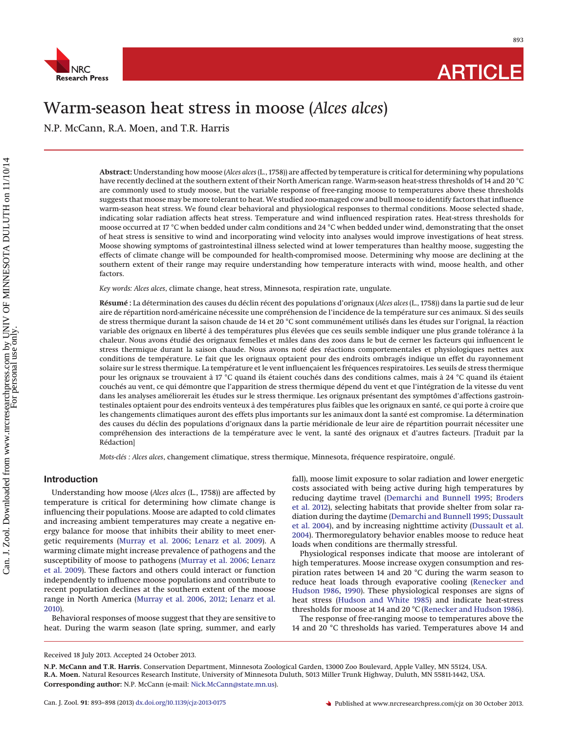

# Warm-season heat stress in moose (*Alces alces*)

N.P. McCann, R.A. Moen, and T.R. Harris

**Abstract:** Understanding how moose (*Alces alces* (L., 1758)) are affected by temperature is critical for determining why populations have recently declined at the southern extent of their North American range. Warm-season heat-stress thresholds of 14 and 20 °C are commonly used to study moose, but the variable response of free-ranging moose to temperatures above these thresholds suggests that moose may be more tolerant to heat. We studied zoo-managed cow and bull moose to identify factors that influence warm-season heat stress. We found clear behavioral and physiological responses to thermal conditions. Moose selected shade, indicating solar radiation affects heat stress. Temperature and wind influenced respiration rates. Heat-stress thresholds for moose occurred at 17 °C when bedded under calm conditions and 24 °C when bedded under wind, demonstrating that the onset of heat stress is sensitive to wind and incorporating wind velocity into analyses would improve investigations of heat stress. Moose showing symptoms of gastrointestinal illness selected wind at lower temperatures than healthy moose, suggesting the effects of climate change will be compounded for health-compromised moose. Determining why moose are declining at the southern extent of their range may require understanding how temperature interacts with wind, moose health, and other factors.

*Key words: Alces alces*, climate change, heat stress, Minnesota, respiration rate, ungulate.

**Résumé :** La détermination des causes du déclin récent des populations d'orignaux (*Alces alces* (L., 1758)) dans la partie sud de leur aire de répartition nord-américaine nécessite une compréhension de l'incidence de la température sur ces animaux. Si des seuils de stress thermique durant la saison chaude de 14 et 20 °C sont communément utilisés dans les études sur l'orignal, la réaction variable des orignaux en liberté a` des températures plus élevées que ces seuils semble indiquer une plus grande tolérance a` la chaleur. Nous avons étudié des orignaux femelles et mâles dans des zoos dans le but de cerner les facteurs qui influencent le stress thermique durant la saison chaude. Nous avons noté des réactions comportementales et physiologiques nettes aux conditions de température. Le fait que les orignaux optaient pour des endroits ombragés indique un effet du rayonnement solaire sur le stress thermique. La température et le vent influençaient les fréquences respiratoires. Les seuils de stress thermique pour les orignaux se trouvaient à 17 °C quand ils étaient couchés dans des conditions calmes, mais à 24 °C quand ils étaient couchés au vent, ce qui démontre que l'apparition de stress thermique dépend du vent et que l'intégration de la vitesse du vent dans les analyses améliorerait les études sur le stress thermique. Les orignaux présentant des symptômes d'affections gastrointestinales optaient pour des endroits venteux à des températures plus faibles que les orignaux en santé, ce qui porte à croire que les changements climatiques auront des effets plus importants sur les animaux dont la santé est compromise. La détermination des causes du déclin des populations d'orignaux dans la partie méridionale de leur aire de répartition pourrait nécessiter une compréhension des interactions de la température avec le vent, la santé des orignaux et d'autres facteurs. [Traduit par la Rédaction]

*Mots-clés : Alces alces*, changement climatique, stress thermique, Minnesota, fréquence respiratoire, ongulé.

# **Introduction**

Understanding how moose (*Alces alces* (L., 1758)) are affected by temperature is critical for determining how climate change is influencing their populations. Moose are adapted to cold climates and increasing ambient temperatures may create a negative energy balance for moose that inhibits their ability to meet energetic requirements [\(Murray et al. 2006;](#page-5-0) [Lenarz et al. 2009\)](#page-5-1). A warming climate might increase prevalence of pathogens and the susceptibility of moose to pathogens [\(Murray et al. 2006;](#page-5-0) [Lenarz](#page-5-1) [et al. 2009\)](#page-5-1). These factors and others could interact or function independently to influence moose populations and contribute to recent population declines at the southern extent of the moose range in North America [\(Murray et al. 2006,](#page-5-0) [2012;](#page-5-2) [Lenarz et al.](#page-5-3) [2010\)](#page-5-3).

Behavioral responses of moose suggest that they are sensitive to heat. During the warm season (late spring, summer, and early fall), moose limit exposure to solar radiation and lower energetic costs associated with being active during high temperatures by reducing daytime travel [\(Demarchi and Bunnell 1995;](#page-5-4) [Broders](#page-5-5) [et al. 2012\)](#page-5-5), selecting habitats that provide shelter from solar radiation during the daytime [\(Demarchi and Bunnell 1995;](#page-5-4) [Dussault](#page-5-6) [et al. 2004\)](#page-5-6), and by increasing nighttime activity [\(Dussault et al.](#page-5-6) [2004\)](#page-5-6). Thermoregulatory behavior enables moose to reduce heat loads when conditions are thermally stressful.

Physiological responses indicate that moose are intolerant of high temperatures. Moose increase oxygen consumption and respiration rates between 14 and 20 °C during the warm season to reduce heat loads through evaporative cooling [\(Renecker and](#page-5-7) [Hudson 1986,](#page-5-7) [1990\)](#page-5-8). These physiological responses are signs of heat stress [\(Hudson and White 1985\)](#page-5-9) and indicate heat-stress thresholds for moose at 14 and 20 °C [\(Renecker and Hudson 1986\)](#page-5-7).

The response of free-ranging moose to temperatures above the 14 and 20 °C thresholds has varied. Temperatures above 14 and

Received 18 July 2013. Accepted 24 October 2013.

**N.P. McCann and T.R. Harris.** Conservation Department, Minnesota Zoological Garden, 13000 Zoo Boulevard, Apple Valley, MN 55124, USA. **R.A. Moen.** Natural Resources Research Institute, University of Minnesota Duluth, 5013 Miller Trunk Highway, Duluth, MN 55811-1442, USA. **Corresponding author:** N.P. McCann (e-mail: [Nick.McCann@state.mn.us\)](mailto:Nick.McCann@state.mn.us).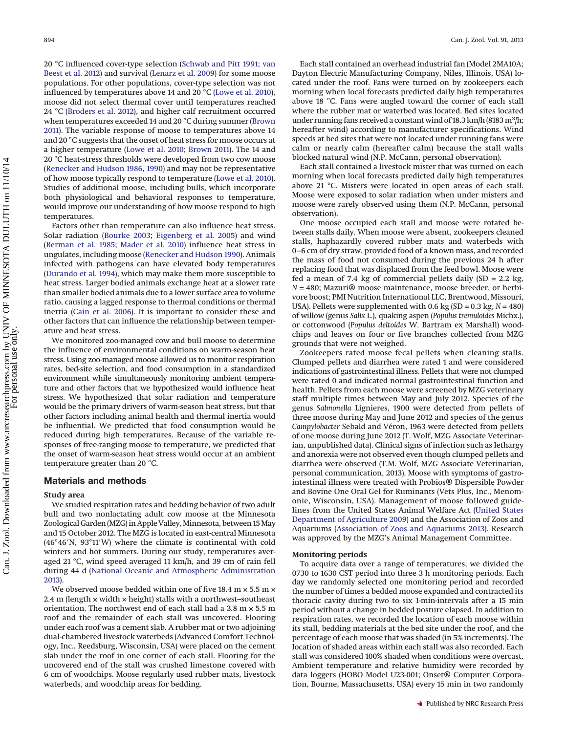20 °C influenced cover-type selection [\(Schwab and Pitt 1991;](#page-5-10) [van](#page-5-11) [Beest et al. 2012\)](#page-5-11) and survival [\(Lenarz et al. 2009\)](#page-5-1) for some moose populations. For other populations, cover-type selection was not influenced by temperatures above 14 and 20 °C [\(Lowe et al. 2010\)](#page-5-12), moose did not select thermal cover until temperatures reached 24 °C [\(Broders et al. 2012\)](#page-5-5), and higher calf recruitment occurred when temperatures exceeded 14 and 20 °C during summer [\(Brown](#page-5-13) [2011\)](#page-5-13). The variable response of moose to temperatures above 14 and 20 °C suggests that the onset of heat stress for moose occurs at a higher temperature [\(Lowe et al. 2010;](#page-5-12) [Brown 2011\)](#page-5-13). The 14 and 20 °C heat-stress thresholds were developed from two cow moose [\(Renecker and Hudson 1986,](#page-5-7) [1990\)](#page-5-8) and may not be representative of how moose typically respond to temperature [\(Lowe et al. 2010\)](#page-5-12). Studies of additional moose, including bulls, which incorporate both physiological and behavioral responses to temperature, would improve our understanding of how moose respond to high temperatures.

Factors other than temperature can also influence heat stress. Solar radiation [\(Bourke 2003;](#page-5-14) [Eigenberg et al. 2005\)](#page-5-15) and wind [\(Berman et al. 1985;](#page-5-16) [Mader et al. 2010\)](#page-5-17) influence heat stress in ungulates, including moose [\(Renecker and Hudson 1990\)](#page-5-8). Animals infected with pathogens can have elevated body temperatures [\(Durando et al. 1994\)](#page-5-18), which may make them more susceptible to heat stress. Larger bodied animals exchange heat at a slower rate than smaller bodied animals due to a lower surface area to volume ratio, causing a lagged response to thermal conditions or thermal inertia [\(Cain et al. 2006\)](#page-5-19). It is important to consider these and other factors that can influence the relationship between temperature and heat stress.

We monitored zoo-managed cow and bull moose to determine the influence of environmental conditions on warm-season heat stress. Using zoo-managed moose allowed us to monitor respiration rates, bed-site selection, and food consumption in a standardized environment while simultaneously monitoring ambient temperature and other factors that we hypothesized would influence heat stress. We hypothesized that solar radiation and temperature would be the primary drivers of warm-season heat stress, but that other factors including animal health and thermal inertia would be influential. We predicted that food consumption would be reduced during high temperatures. Because of the variable responses of free-ranging moose to temperature, we predicted that the onset of warm-season heat stress would occur at an ambient temperature greater than 20 °C.

# **Materials and methods**

#### **Study area**

We studied respiration rates and bedding behavior of two adult bull and two nonlactating adult cow moose at the Minnesota Zoological Garden (MZG) in Apple Valley, Minnesota, between 15 May and 15 October 2012. The MZG is located in east-central Minnesota  $(46°46'N, 93°11'W)$  where the climate is continental with cold winters and hot summers. During our study, temperatures averaged 21 °C, wind speed averaged 11 km/h, and 39 cm of rain fell during 44 d [\(National Oceanic and Atmospheric Administration](#page-5-20) [2013\)](#page-5-20).

We observed moose bedded within one of five 18.4  $\text{m} \times 5.5 \text{ m} \times$ 2.4 m (length  $\times$  width  $\times$  height) stalls with a northwest-southeast orientation. The northwest end of each stall had a 3.8 m × 5.5 m roof and the remainder of each stall was uncovered. Flooring under each roof was a cement slab. A rubber mat or two adjoining dual-chambered livestock waterbeds (Advanced Comfort Technology, Inc., Reedsburg, Wisconsin, USA) were placed on the cement slab under the roof in one corner of each stall. Flooring for the uncovered end of the stall was crushed limestone covered with 6 cm of woodchips. Moose regularly used rubber mats, livestock waterbeds, and woodchip areas for bedding.

Each stall contained an overhead industrial fan (Model 2MA10A; Dayton Electric Manufacturing Company, Niles, Illinois, USA) located under the roof. Fans were turned on by zookeepers each morning when local forecasts predicted daily high temperatures above 18 °C. Fans were angled toward the corner of each stall where the rubber mat or waterbed was located. Bed sites located under running fans received a constant wind of 18.3 km/h (8183 m<sup>3</sup>/h; hereafter wind) according to manufacturer specifications. Wind speeds at bed sites that were not located under running fans were calm or nearly calm (hereafter calm) because the stall walls blocked natural wind (N.P. McCann, personal observation).

Each stall contained a livestock mister that was turned on each morning when local forecasts predicted daily high temperatures above 21 °C. Misters were located in open areas of each stall. Moose were exposed to solar radiation when under misters and moose were rarely observed using them (N.P. McCann, personal observation).

One moose occupied each stall and moose were rotated between stalls daily. When moose were absent, zookeepers cleaned stalls, haphazardly covered rubber mats and waterbeds with 0–6 cm of dry straw, provided food of a known mass, and recorded the mass of food not consumed during the previous 24 h after replacing food that was displaced from the feed bowl. Moose were fed a mean of 7.4 kg of commercial pellets daily  $(SD = 2.2 \text{ kg},$ *<sup>N</sup>* = 480; Mazuri® moose maintenance, moose breeder, or herbivore boost; PMI Nutrition International LLC, Brentwood, Missouri, USA). Pellets were supplemented with 0.6 kg (SD = 0.3 kg, *N* = 480) of willow (genus *Salix* L.), quaking aspen (*Populus tremuloides* Michx.), or cottonwood (*Populus deltoides* W. Bartram ex Marshall) woodchips and leaves on four or five branches collected from MZG grounds that were not weighed.

Zookeepers rated moose fecal pellets when cleaning stalls. Clumped pellets and diarrhea were rated 1 and were considered indications of gastrointestinal illness. Pellets that were not clumped were rated 0 and indicated normal gastrointestinal function and health. Pellets from each moose were screened by MZG veterinary staff multiple times between May and July 2012. Species of the genus *Salmonella* Lignieres, 1900 were detected from pellets of three moose during May and June 2012 and species of the genus *Campylobacter* Sebald and Véron, 1963 were detected from pellets of one moose during June 2012 (T. Wolf, MZG Associate Veterinarian, unpublished data). Clinical signs of infection such as lethargy and anorexia were not observed even though clumped pellets and diarrhea were observed (T.M. Wolf, MZG Associate Veterinarian, personal communication, 2013). Moose with symptoms of gastrointestinal illness were treated with Probios® Dispersible Powder and Bovine One Oral Gel for Ruminants (Vets Plus, Inc., Menomonie, Wisconsin, USA). Management of moose followed guidelines from the United States Animal Welfare Act [\(United States](#page-5-21) [Department of Agriculture 2009\)](#page-5-21) and the Association of Zoos and Aquariums [\(Association of Zoos and Aquariums 2013\)](#page-5-22). Research was approved by the MZG's Animal Management Committee.

# **Monitoring periods**

To acquire data over a range of temperatures, we divided the 0730 to 1630 CST period into three 3 h monitoring periods. Each day we randomly selected one monitoring period and recorded the number of times a bedded moose expanded and contracted its thoracic cavity during two to six 1-min-intervals after a 15 min period without a change in bedded posture elapsed. In addition to respiration rates, we recorded the location of each moose within its stall, bedding materials at the bed site under the roof, and the percentage of each moose that was shaded (in 5% increments). The location of shaded areas within each stall was also recorded. Each stall was considered 100% shaded when conditions were overcast. Ambient temperature and relative humidity were recorded by data loggers (HOBO Model U23-001; Onset® Computer Corporation, Bourne, Massachusetts, USA) every 15 min in two randomly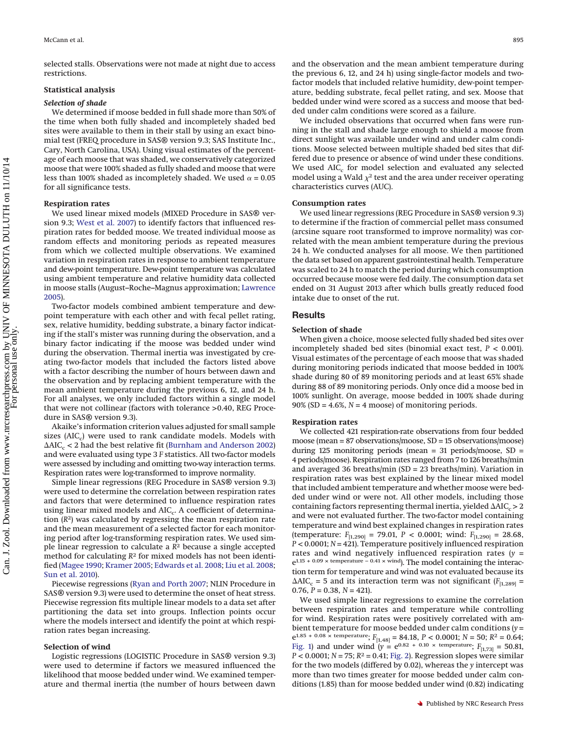selected stalls. Observations were not made at night due to access restrictions.

# **Statistical analysis**

# *Selection of shade*

We determined if moose bedded in full shade more than 50% of the time when both fully shaded and incompletely shaded bed sites were available to them in their stall by using an exact binomial test (FREQ procedure in SAS® version 9.3; SAS Institute Inc., Cary, North Carolina, USA). Using visual estimates of the percentage of each moose that was shaded, we conservatively categorized moose that were 100% shaded as fully shaded and moose that were less than 100% shaded as incompletely shaded. We used  $\alpha$  = 0.05 for all significance tests.

#### **Respiration rates**

We us[ed](#page-5-23) [linear](#page-5-23) [mixed](#page-5-23) [m](#page-5-23)odels (MIXED Procedure in SAS® ver-sion 9.3; West et al. 2007) to identify factors that influenced respiration rates for bedded moose. We treated individual moose as random effects and monitoring periods as repeated measures from which we collected multiple observations. We examined variation in respiration rates in response to ambient temperature and dew-point temperature. Dew-point temperature was calculated using ambient temperature and relative humidity data collected in moose stalls (August–Roche–Magnus approximation; [Lawrence](#page-5-24) [2005\)](#page-5-24).

Two-factor models combined ambient temperature and dewpoint temperature with each other and with fecal pellet rating, sex, relative humidity, bedding substrate, a binary factor indicating if the stall's mister was running during the observation, and a binary factor indicating if the moose was bedded under wind during the observation. Thermal inertia was investigated by creating two-factor models that included the factors listed above with a factor describing the number of hours between dawn and the observation and by replacing ambient temperature with the mean ambient temperature during the previous 6, 12, and 24 h. For all analyses, we only included factors within a single model that were not collinear (factors with tolerance >0.40, REG Procedure in SAS® version 9.3).

Akaike's information criterion values adjusted for small sample sizes ( $AIC<sub>c</sub>$ ) were used to rank candidate models. Models with  $\Delta AIC_c < 2$  had the best relative fit [\(Burnham and Anderson 2002\)](#page-5-25) and were evaluated using type 3 *F* statistics. All two-factor models were assessed by including and omitting two-way interaction terms. Respiration rates were log-transformed to improve normality.

Simple linear regressions (REG Procedure in SAS® version 9.3) were used to determine the correlation between respiration rates and factors that were determined to influence respiration rates using linear mixed models and AIC<sub>c</sub>. A coefficient of determination (*R*2) was calculated by regressing the mean respiration rate and the mean measurement of a selected factor for each monitoring period after log-transforming respiration rates. We used simple linear regression to calculate a *R*<sup>2</sup> because a single accepted method for calculating *R*<sup>2</sup> for mixed models has not been identified [\(Magee 1990;](#page-5-26) [Kramer 2005;](#page-5-27) [Edwards et al. 2008;](#page-5-28) [Liu et al. 2008;](#page-5-29) [Sun et al. 2010\)](#page-5-30).

Piecewise regressions [\(Ryan and Porth 2007;](#page-5-31) NLIN Procedure in SAS® version 9.3) were used to determine the onset of heat stress. Piecewise regression fits multiple linear models to a data set after partitioning the data set into groups. Inflection points occur where the models intersect and identify the point at which respiration rates began increasing.

#### **Selection of wind**

Logistic regressions (LOGISTIC Procedure in SAS® version 9.3) were used to determine if factors we measured influenced the likelihood that moose bedded under wind. We examined temperature and thermal inertia (the number of hours between dawn

and the observation and the mean ambient temperature during the previous 6, 12, and 24 h) using single-factor models and twofactor models that included relative humidity, dew-point temperature, bedding substrate, fecal pellet rating, and sex. Moose that bedded under wind were scored as a success and moose that bedded under calm conditions were scored as a failure.

We included observations that occurred when fans were running in the stall and shade large enough to shield a moose from direct sunlight was available under wind and under calm conditions. Moose selected between multiple shaded bed sites that differed due to presence or absence of wind under these conditions. We used  $AIC_c$  for model selection and evaluated any selected model using a Wald  $\chi^2$  test and the area under receiver operating characteristics curves (AUC).

# **Consumption rates**

We used linear regressions (REG Procedure in SAS® version 9.3) to determine if the fraction of commercial pellet mass consumed (arcsine square root transformed to improve normality) was correlated with the mean ambient temperature during the previous 24 h. We conducted analyses for all moose. We then partitioned the data set based on apparent gastrointestinal health. Temperature was scaled to 24 h to match the period during which consumption occurred because moose were fed daily. The consumption data set ended on 31 August 2013 after which bulls greatly reduced food intake due to onset of the rut.

# **Results**

## **Selection of shade**

When given a choice, moose selected fully shaded bed sites over incompletely shaded bed sites (binomial exact test, *P* < 0.001). Visual estimates of the percentage of each moose that was shaded during monitoring periods indicated that moose bedded in 100% shade during 80 of 89 monitoring periods and at least 65% shade during 88 of 89 monitoring periods. Only once did a moose bed in 100% sunlight. On average, moose bedded in 100% shade during 90% (SD =  $4.6\%$ ,  $N = 4$  moose) of monitoring periods.

#### **Respiration rates**

We collected 421 respiration-rate observations from four bedded moose (mean = 87 observations/moose, SD = 15 observations/moose) during 125 monitoring periods (mean = 31 periods/moose, SD = 4 periods/moose). Respiration rates ranged from 7 to 126 breaths/min and averaged 36 breaths/min (SD = 23 breaths/min). Variation in respiration rates was best explained by the linear mixed model that included ambient temperature and whether moose were bedded under wind or were not. All other models, including those containing factors representing thermal inertia, yielded  $\Delta AIC_c > 2$ and were not evaluated further. The two-factor model containing temperature and wind best explained changes in respiration rates (temperature: *F*[1,290] = 79.01, *P* < 0.0001; wind: *F*[1,290] = 28.68, *P* < 0.0001; *N* = 421). Temperature positively influenced respiration rates and wind negatively influenced respiration rates (*y* =  $e^{1.15 + 0.09 \times \text{temperature} - 0.41 \times \text{wind}}$ . The model containing the interaction term for temperature and wind was not evaluated because its  $\Delta AIC_c = 5$  and its interaction term was not significant ( $F_{[1,289]}$  = 0.76, *P* = 0.38, *N* = 421).

We used simple linear regressions to examine the correlation between respiration rates and temperature while controlling for wind. Respiration rates were positively correlated with ambient temperature for moose bedded under calm conditions (*y* =  $e^{1.85 + 0.08 \times \text{temperature}}$ ;  $F_{[1,48]} = 84.18$ ,  $P < 0.0001$ ;  $N = 50$ ;  $R^2 = 0.64$ ; [Fig. 1\)](#page-3-0) and under wind  $(y = e^{0.82 + 0.10 \times \text{temperature}}; F_{[1,73]} = 50.81,$ *P* < 0.0001; *N* = 75; *R*<sup>2</sup> = 0.41; [Fig. 2\)](#page-3-1). Regression slopes were similar for the two models (differed by 0.02), whereas the *y* intercept was more than two times greater for moose bedded under calm conditions (1.85) than for moose bedded under wind (0.82) indicating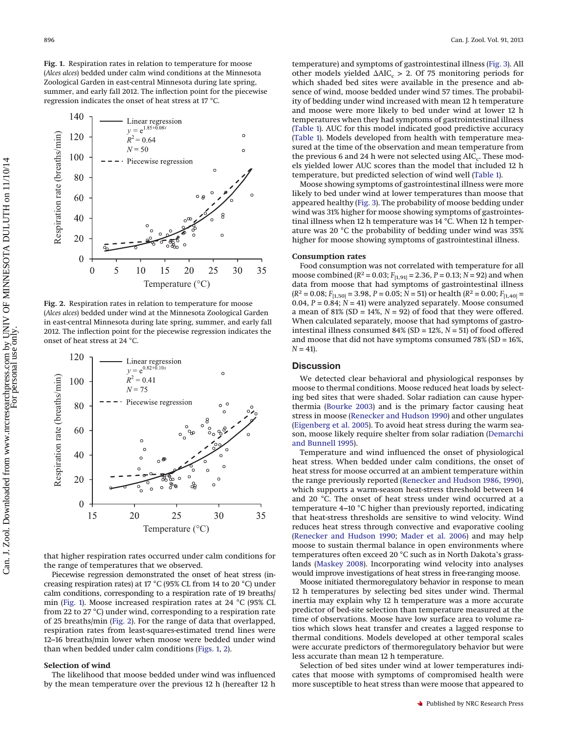<span id="page-3-0"></span>**Fig. 1.** Respiration rates in relation to temperature for moose (*Alces alces*) bedded under calm wind conditions at the Minnesota Zoological Garden in east-central Minnesota during late spring, summer, and early fall 2012. The inflection point for the piecewise regression indicates the onset of heat stress at 17 °C.



<span id="page-3-1"></span>**Fig. 2.** Respiration rates in relation to temperature for moose (*Alces alces*) bedded under wind at the Minnesota Zoological Garden in east-central Minnesota during late spring, summer, and early fall 2012. The inflection point for the piecewise regression indicates the onset of heat stress at 24 °C.



that higher respiration rates occurred under calm conditions for the range of temperatures that we observed.

Piecewise regression demonstrated the onset of heat stress (increasing respiration rates) at 17 °C (95% CL from 14 to 20 °C) under calm conditions, corresponding to a respiration rate of 19 breaths/ min [\(Fig. 1\)](#page-3-0). Moose increased respiration rates at 24 °C (95% CL from 22 to 27 °C) under wind, corresponding to a respiration rate of 25 breaths/min [\(Fig. 2\)](#page-3-1). For the range of data that overlapped, respiration rates from least-squares-estimated trend lines were 12–16 breaths/min lower when moose were bedded under wind than when bedded under calm conditions [\(Figs. 1,](#page-3-0) [2\)](#page-3-1).

#### **Selection of wind**

The likelihood that moose bedded under wind was influenced by the mean temperature over the previous 12 h (hereafter 12 h temperature) and symptoms of gastrointestinal illness [\(Fig. 3\)](#page-4-0). All other models yielded  $\Delta AIC_c > 2$ . Of 75 monitoring periods for which shaded bed sites were available in the presence and absence of wind, moose bedded under wind 57 times. The probability of bedding under wind increased with mean 12 h temperature and moose were more likely to bed under wind at lower 12 h temperatures when they had symptoms of gastrointestinal illness [\(Table 1\)](#page-4-1). AUC for this model indicated good predictive accuracy [\(Table 1\)](#page-4-1). Models developed from health with temperature measured at the time of the observation and mean temperature from the previous 6 and 24 h were not selected using AIC<sub>c</sub>. These models yielded lower AUC scores than the model that included 12 h temperature, but predicted selection of wind well [\(Table 1\)](#page-4-1).

Moose showing symptoms of gastrointestinal illness were more likely to bed under wind at lower temperatures than moose that appeared healthy [\(Fig. 3\)](#page-4-0). The probability of moose bedding under wind was 31% higher for moose showing symptoms of gastrointestinal illness when 12 h temperature was 14 °C. When 12 h temperature was 20 °C the probability of bedding under wind was 35% higher for moose showing symptoms of gastrointestinal illness.

### **Consumption rates**

Food consumption was not correlated with temperature for all moose combined ( $R^2$  = 0.03;  $F_{[1,91]}$  = 2.36,  $P$  = 0.13;  $N$  = 92) and when data from moose that had symptoms of gastrointestinal illness  $(R^2 = 0.08; F_{[1,50]} = 3.98, P = 0.05; N = 51)$  or health  $(R^2 = 0.00; F_{[1,40]} =$ 0.04,  $P = 0.84$ ;  $N = 41$ ) were analyzed separately. Moose consumed a mean of  $81\%$  (SD =  $14\%$ ,  $N = 92$ ) of food that they were offered. When calculated separately, moose that had symptoms of gastrointestinal illness consumed 84% (SD = 12%, *N* = 51) of food offered and moose that did not have symptoms consumed 78% (SD = 16%,  $N = 41$ ).

# **Discussion**

We detected clear behavioral and physiological responses by moose to thermal conditions. Moose reduced heat loads by selecting bed sites that were shaded. Solar radiation can cause hyperthermia [\(Bourke 2003\)](#page-5-14) and is the primary factor causing heat stress in moose [\(Renecker and Hudson 1990\)](#page-5-8) and other ungulates [\(Eigenberg et al. 2005\)](#page-5-15). To avoid heat stress during the warm season, moose likely require shelter from solar radiation [\(Demarchi](#page-5-4) [and Bunnell 1995\)](#page-5-4).

Temperature and wind influenced the onset of physiological heat stress. When bedded under calm conditions, the onset of heat stress for moose occurred at an ambient temperature within the range previously reported [\(Renecker and Hudson 1986,](#page-5-7) [1990\)](#page-5-8), which supports a warm-season heat-stress threshold between 14 and 20 °C. The onset of heat stress under wind occurred at a temperature 4–10 °C higher than previously reported, indicating that heat-stress thresholds are sensitive to wind velocity. Wind reduces heat stress through convective and evaporative cooling [\(Renecker and Hudson 1990;](#page-5-8) [Mader et al. 2006\)](#page-5-32) and may help moose to sustain thermal balance in open environments where temperatures often exceed 20 °C such as in North Dakota's grasslands [\(Maskey 2008\)](#page-5-33). Incorporating wind velocity into analyses would improve investigations of heat stress in free-ranging moose.

Moose initiated thermoregulatory behavior in response to mean 12 h temperatures by selecting bed sites under wind. Thermal inertia may explain why 12 h temperature was a more accurate predictor of bed-site selection than temperature measured at the time of observations. Moose have low surface area to volume ratios which slows heat transfer and creates a lagged response to thermal conditions. Models developed at other temporal scales were accurate predictors of thermoregulatory behavior but were less accurate than mean 12 h temperature.

Selection of bed sites under wind at lower temperatures indicates that moose with symptoms of compromised health were more susceptible to heat stress than were moose that appeared to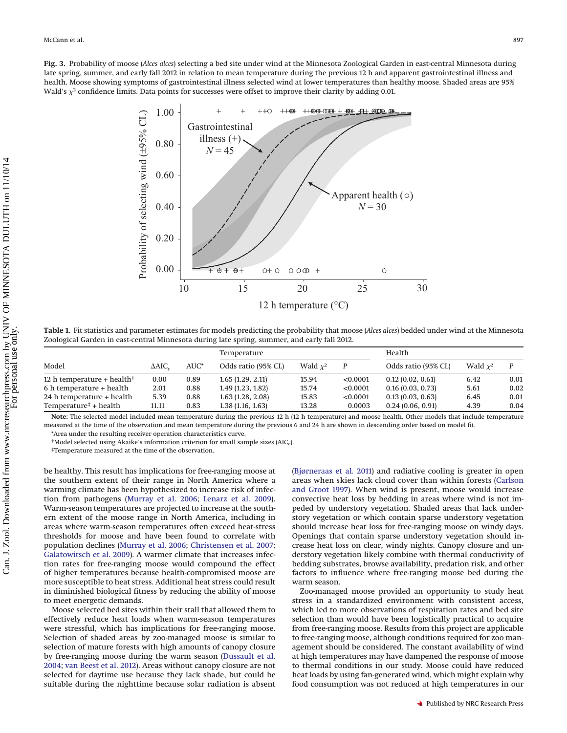<span id="page-4-0"></span>



<span id="page-4-1"></span>**Table 1.** Fit statistics and parameter estimates for models predicting the probability that moose (*Alces alces*) bedded under wind at the Minnesota Zoological Garden in east-central Minnesota during late spring, summer, and early fall 2012.

| Model                               | $\triangle$ AIC. | AUC* | Temperature         |            |          | Health              |            |      |
|-------------------------------------|------------------|------|---------------------|------------|----------|---------------------|------------|------|
|                                     |                  |      | Odds ratio (95% CL) | Wald $x^2$ |          | Odds ratio (95% CL) | Wald $x^2$ |      |
| 12 h temperature + health $\dagger$ | 0.00             | 0.89 | 1.65(1.29, 2.11)    | 15.94      | < 0.0001 | 0.12(0.02, 0.61)    | 6.42       | 0.01 |
| 6 h temperature + health            | 2.01             | 0.88 | 1.49(1.23, 1.82)    | 15.74      | < 0.0001 | 0.16(0.03, 0.73)    | 5.61       | 0.02 |
| 24 h temperature + health           | 5.39             | 0.88 | 1.63(1.28, 2.08)    | 15.83      | < 0.0001 | 0.13(0.03, 0.63)    | 6.45       | 0.01 |
| Temperature $\ddagger$ + health     | 11.11            | 0.83 | 1.38(1.16, 1.63)    | 13.28      | 0.0003   | 0.24(0.06, 0.91)    | 4.39       | 0.04 |

**Note:** The selected model included mean temperature during the previous 12 h (12 h temperature) and moose health. Other models that include temperature measured at the time of the observation and mean temperature during the previous 6 and 24 h are shown in descending order based on model fit. \*Area under the resulting receiver operation characteristics curve.

<sup>†</sup>Model selected using Akaike's information criterion for small sample sizes (AIC<sub>c</sub>).

‡Temperature measured at the time of the observation.

be healthy. This result has implications for free-ranging moose at the southern extent of their range in North America where a warming climate has been hypothesized to increase risk of infection from pathogens [\(Murray et al. 2006;](#page-5-0) [Lenarz et al. 2009\)](#page-5-1). Warm-season temperatures are projected to increase at the southern extent of the moose range in North America, including in areas where warm-season temperatures often exceed heat-stress thresholds for moose and have been found to correlate with population declines [\(Murray et al. 2006;](#page-5-0) [Christensen et al. 2007;](#page-5-34) [Galatowitsch et al. 2009\)](#page-5-35). A warmer climate that increases infection rates for free-ranging moose would compound the effect of higher temperatures because health-compromised moose are more susceptible to heat stress. Additional heat stress could result in diminished biological fitness by reducing the ability of moose to meet energetic demands.

Moose selected bed sites within their stall that allowed them to effectively reduce heat loads when warm-season temperatures were stressful, which has implications for free-ranging moose. Selection of shaded areas by zoo-managed moose is similar to selection of mature forests with high amounts of canopy closure by free-ranging moose during the warm season [\(Dussault et al.](#page-5-6) [2004;](#page-5-6) [van Beest et al. 2012\)](#page-5-11). Areas without canopy closure are not selected for daytime use because they lack shade, but could be suitable during the nighttime because solar radiation is absent

[\(Bjørneraas et al. 2011\)](#page-5-36) and radiative cooling is greater in open areas when skies lack cloud cover than within forests [\(Carlson](#page-5-37) [and Groot 1997\)](#page-5-37). When wind is present, moose would increase convective heat loss by bedding in areas where wind is not impeded by understory vegetation. Shaded areas that lack understory vegetation or which contain sparse understory vegetation should increase heat loss for free-ranging moose on windy days. Openings that contain sparse understory vegetation should increase heat loss on clear, windy nights. Canopy closure and understory vegetation likely combine with thermal conductivity of bedding substrates, browse availability, predation risk, and other factors to influence where free-ranging moose bed during the warm season.

Zoo-managed moose provided an opportunity to study heat stress in a standardized environment with consistent access, which led to more observations of respiration rates and bed site selection than would have been logistically practical to acquire from free-ranging moose. Results from this project are applicable to free-ranging moose, although conditions required for zoo management should be considered. The constant availability of wind at high temperatures may have dampened the response of moose to thermal conditions in our study. Moose could have reduced heat loads by using fan-generated wind, which might explain why food consumption was not reduced at high temperatures in our